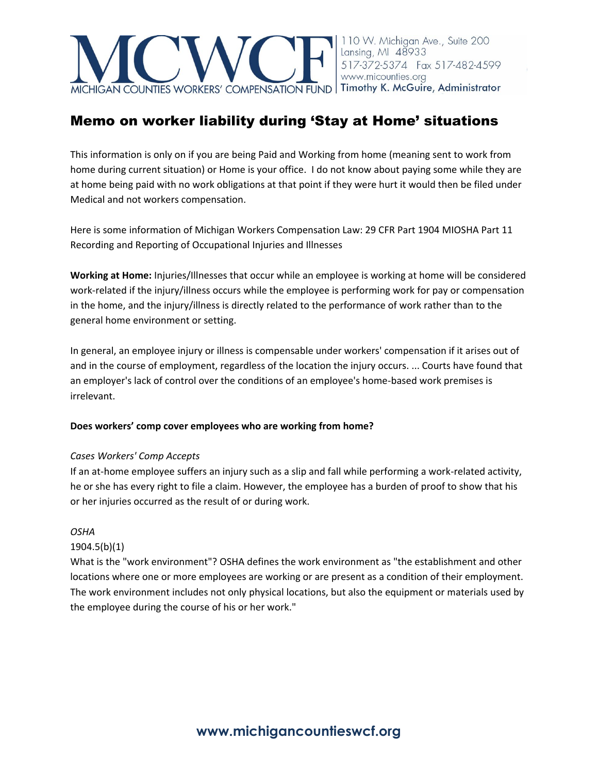

# Memo on worker liability during 'Stay at Home' situations

This information is only on if you are being Paid and Working from home (meaning sent to work from home during current situation) or Home is your office. I do not know about paying some while they are at home being paid with no work obligations at that point if they were hurt it would then be filed under Medical and not workers compensation.

Here is some information of Michigan Workers Compensation Law: 29 CFR Part 1904 MIOSHA Part 11 Recording and Reporting of Occupational Injuries and Illnesses

**Working at Home:** Injuries/Illnesses that occur while an employee is working at home will be considered work-related if the injury/illness occurs while the employee is performing work for pay or compensation in the home, and the injury/illness is directly related to the performance of work rather than to the general home environment or setting.

In general, an employee injury or illness is compensable under workers' compensation if it arises out of and in the course of employment, regardless of the location the injury occurs. ... Courts have found that an employer's lack of control over the conditions of an employee's home-based work premises is irrelevant.

#### **Does workers' comp cover employees who are working from home?**

#### *Cases Workers' Comp Accepts*

If an at-home employee suffers an injury such as a slip and fall while performing a work-related activity, he or she has every right to file a claim. However, the employee has a burden of proof to show that his or her injuries occurred as the result of or during work.

#### *OSHA*

## 1904.5(b)(1)

What is the "work environment"? OSHA defines the work environment as "the establishment and other locations where one or more employees are working or are present as a condition of their employment. The work environment includes not only physical locations, but also the equipment or materials used by the employee during the course of his or her work."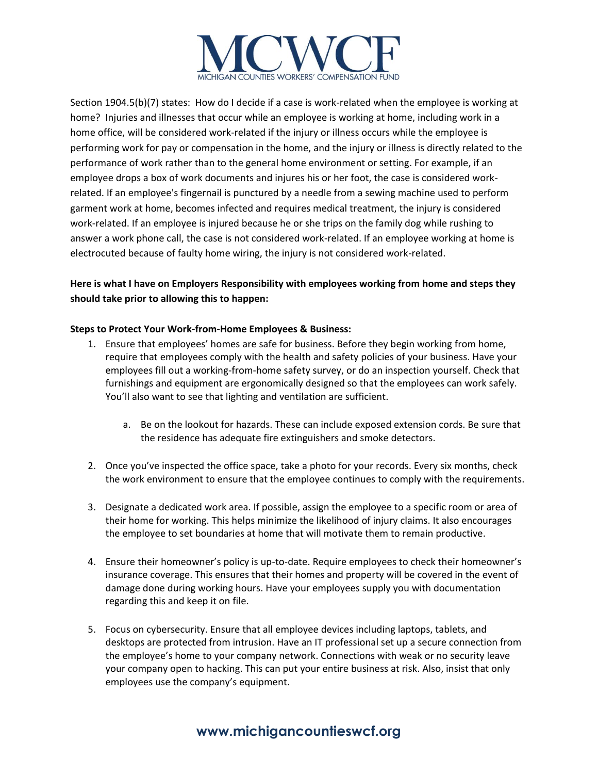

Section 1904.5(b)(7) states: How do I decide if a case is work-related when the employee is working at home? Injuries and illnesses that occur while an employee is working at home, including work in a home office, will be considered work-related if the injury or illness occurs while the employee is performing work for pay or compensation in the home, and the injury or illness is directly related to the performance of work rather than to the general home environment or setting. For example, if an employee drops a box of work documents and injures his or her foot, the case is considered workrelated. If an employee's fingernail is punctured by a needle from a sewing machine used to perform garment work at home, becomes infected and requires medical treatment, the injury is considered work-related. If an employee is injured because he or she trips on the family dog while rushing to answer a work phone call, the case is not considered work-related. If an employee working at home is electrocuted because of faulty home wiring, the injury is not considered work-related.

# **Here is what I have on Employers Responsibility with employees working from home and steps they should take prior to allowing this to happen:**

### **Steps to Protect Your Work-from-Home Employees & Business:**

- 1. Ensure that employees' homes are safe for business. Before they begin working from home, require that employees comply with the health and safety policies of your business. Have your employees fill out a working-from-home safety survey, or do an inspection yourself. Check that furnishings and equipment are ergonomically designed so that the employees can work safely. You'll also want to see that lighting and ventilation are sufficient.
	- a. Be on the lookout for hazards. These can include exposed extension cords. Be sure that the residence has adequate fire extinguishers and smoke detectors.
- 2. Once you've inspected the office space, take a photo for your records. Every six months, check the work environment to ensure that the employee continues to comply with the requirements.
- 3. Designate a dedicated work area. If possible, assign the employee to a specific room or area of their home for working. This helps minimize the likelihood of injury claims. It also encourages the employee to set boundaries at home that will motivate them to remain productive.
- 4. Ensure their homeowner's policy is up-to-date. Require employees to check their homeowner's insurance coverage. This ensures that their homes and property will be covered in the event of damage done during working hours. Have your employees supply you with documentation regarding this and keep it on file.
- 5. Focus on cybersecurity. Ensure that all employee devices including laptops, tablets, and desktops are protected from intrusion. Have an IT professional set up a secure connection from the employee's home to your company network. Connections with weak or no security leave your company open to hacking. This can put your entire business at risk. Also, insist that only employees use the company's equipment.

# **www.michigancountieswcf.org**